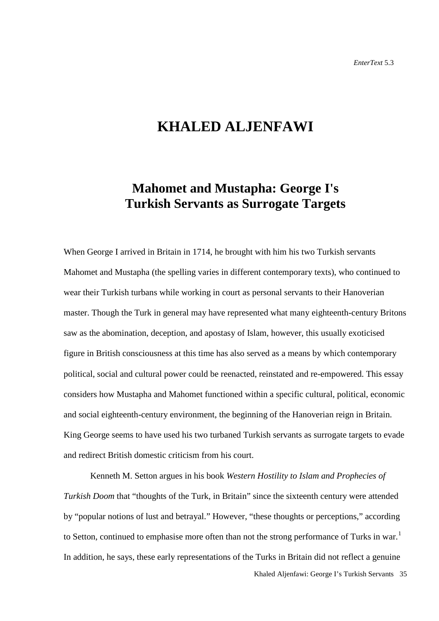# **KHALED ALJENFAWI**

# **Mahomet and Mustapha: George I's Turkish Servants as Surrogate Targets**

When George I arrived in Britain in 1714, he brought with him his two Turkish servants Mahomet and Mustapha (the spelling varies in different contemporary texts), who continued to wear their Turkish turbans while working in court as personal servants to their Hanoverian master. Though the Turk in general may have represented what many eighteenth-century Britons saw as the abomination, deception, and apostasy of Islam, however, this usually exoticised figure in British consciousness at this time has also served as a means by which contemporary political, social and cultural power could be reenacted, reinstated and re-empowered. This essay considers how Mustapha and Mahomet functioned within a specific cultural, political, economic and social eighteenth-century environment, the beginning of the Hanoverian reign in Britain. King George seems to have used his two turbaned Turkish servants as surrogate targets to evade and redirect British domestic criticism from his court.

Kenneth M. Setton argues in his book *Western Hostility to Islam and Prophecies of Turkish Doom* that "thoughts of the Turk, in Britain" since the sixteenth century were attended by "popular notions of lust and betrayal." However, "these thoughts or perceptions," according to Setton, continued to emphasise more often than not the strong performance of Turks in war.<sup>[1](#page-17-0)</sup> In addition, he says, these early representations of the Turks in Britain did not reflect a genuine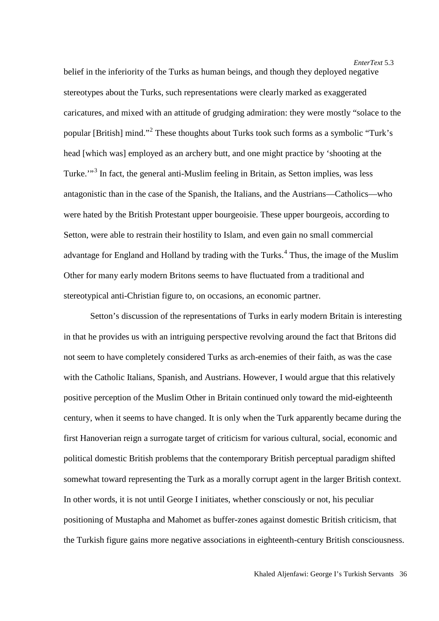belief in the inferiority of the Turks as human beings, and though they deployed negative stereotypes about the Turks, such representations were clearly marked as exaggerated caricatures, and mixed with an attitude of grudging admiration: they were mostly "solace to the popular [British] mind."[2](#page-18-0) These thoughts about Turks took such forms as a symbolic "Turk's head [which was] employed as an archery butt, and one might practice by 'shooting at the Turke."<sup>[3](#page-18-1)</sup> In fact, the general anti-Muslim feeling in Britain, as Setton implies, was less antagonistic than in the case of the Spanish, the Italians, and the Austrians—Catholics—who were hated by the British Protestant upper bourgeoisie. These upper bourgeois, according to Setton, were able to restrain their hostility to Islam, and even gain no small commercial advantage for England and Holland by trading with the Turks. [4](#page-18-2) Thus, the image of the Muslim Other for many early modern Britons seems to have fluctuated from a traditional and stereotypical anti-Christian figure to, on occasions, an economic partner.

Setton's discussion of the representations of Turks in early modern Britain is interesting in that he provides us with an intriguing perspective revolving around the fact that Britons did not seem to have completely considered Turks as arch-enemies of their faith, as was the case with the Catholic Italians, Spanish, and Austrians. However, I would argue that this relatively positive perception of the Muslim Other in Britain continued only toward the mid-eighteenth century, when it seems to have changed. It is only when the Turk apparently became during the first Hanoverian reign a surrogate target of criticism for various cultural, social, economic and political domestic British problems that the contemporary British perceptual paradigm shifted somewhat toward representing the Turk as a morally corrupt agent in the larger British context. In other words, it is not until George I initiates, whether consciously or not, his peculiar positioning of Mustapha and Mahomet as buffer-zones against domestic British criticism, that the Turkish figure gains more negative associations in eighteenth-century British consciousness.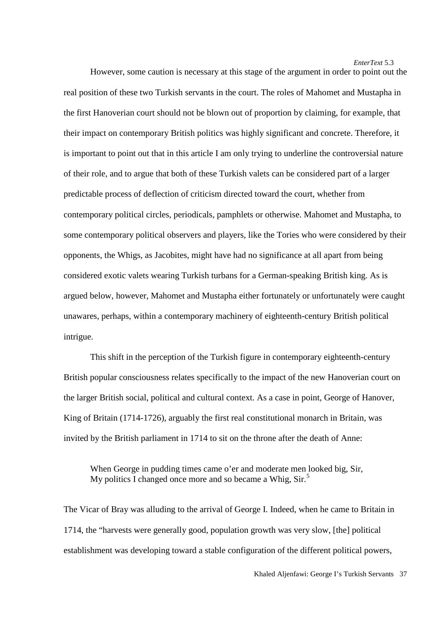However, some caution is necessary at this stage of the argument in order to point out the real position of these two Turkish servants in the court. The roles of Mahomet and Mustapha in the first Hanoverian court should not be blown out of proportion by claiming, for example, that their impact on contemporary British politics was highly significant and concrete. Therefore, it is important to point out that in this article I am only trying to underline the controversial nature of their role, and to argue that both of these Turkish valets can be considered part of a larger predictable process of deflection of criticism directed toward the court, whether from contemporary political circles, periodicals, pamphlets or otherwise. Mahomet and Mustapha, to some contemporary political observers and players, like the Tories who were considered by their opponents, the Whigs, as Jacobites, might have had no significance at all apart from being considered exotic valets wearing Turkish turbans for a German-speaking British king. As is argued below, however, Mahomet and Mustapha either fortunately or unfortunately were caught unawares, perhaps, within a contemporary machinery of eighteenth-century British political intrigue.

This shift in the perception of the Turkish figure in contemporary eighteenth-century British popular consciousness relates specifically to the impact of the new Hanoverian court on the larger British social, political and cultural context. As a case in point, George of Hanover, King of Britain (1714-1726), arguably the first real constitutional monarch in Britain, was invited by the British parliament in 1714 to sit on the throne after the death of Anne:

When George in pudding times came o'er and moderate men looked big, Sir, My politics I changed once more and so became a Whig, Sir.<sup>[5](#page-18-3)</sup>

The Vicar of Bray was alluding to the arrival of George I. Indeed, when he came to Britain in 1714, the "harvests were generally good, population growth was very slow, [the] political establishment was developing toward a stable configuration of the different political powers,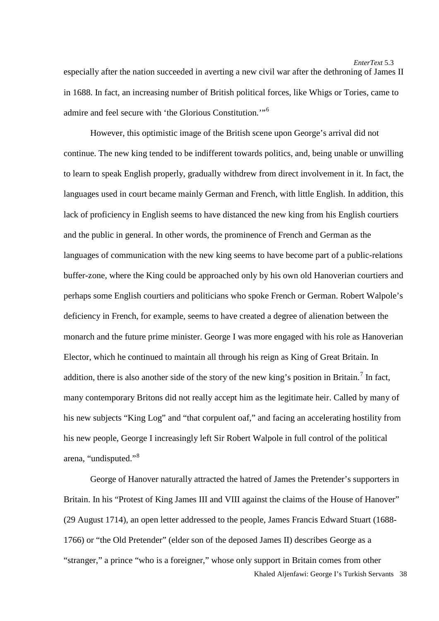especially after the nation succeeded in averting a new civil war after the dethroning of James II in 1688. In fact, an increasing number of British political forces, like Whigs or Tories, came to admire and feel secure with 'the Glorious Constitution.'"<sup>[6](#page-19-0)</sup>

However, this optimistic image of the British scene upon George's arrival did not continue. The new king tended to be indifferent towards politics, and, being unable or unwilling to learn to speak English properly, gradually withdrew from direct involvement in it. In fact, the languages used in court became mainly German and French, with little English. In addition, this lack of proficiency in English seems to have distanced the new king from his English courtiers and the public in general. In other words, the prominence of French and German as the languages of communication with the new king seems to have become part of a public-relations buffer-zone, where the King could be approached only by his own old Hanoverian courtiers and perhaps some English courtiers and politicians who spoke French or German. Robert Walpole's deficiency in French, for example, seems to have created a degree of alienation between the monarch and the future prime minister. George I was more engaged with his role as Hanoverian Elector, which he continued to maintain all through his reign as King of Great Britain. In addition, there is also another side of the story of the new king's position in Britain.<sup>[7](#page-19-1)</sup> In fact, many contemporary Britons did not really accept him as the legitimate heir. Called by many of his new subjects "King Log" and "that corpulent oaf," and facing an accelerating hostility from his new people, George I increasingly left Sir Robert Walpole in full control of the political arena, "undisputed."[8](#page-19-2)

Khaled Aljenfawi: George I's Turkish Servants 38 George of Hanover naturally attracted the hatred of James the Pretender's supporters in Britain. In his "Protest of King James III and VIII against the claims of the House of Hanover" (29 August 1714), an open letter addressed to the people, James Francis Edward Stuart (1688- 1766) or "the Old Pretender" (elder son of the deposed James II) describes George as a "stranger," a prince "who is a foreigner," whose only support in Britain comes from other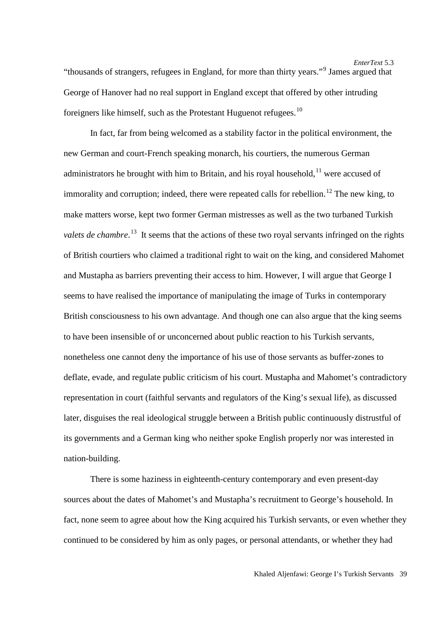In fact, far from being welcomed as a stability factor in the political environment, the new German and court-French speaking monarch, his courtiers, the numerous German administrators he brought with him to Britain, and his royal household,  $11$  were accused of immorality and corruption; indeed, there were repeated calls for rebellion.<sup>[12](#page-19-6)</sup> The new king, to make matters worse, kept two former German mistresses as well as the two turbaned Turkish valets de chambre.<sup>[13](#page-19-7)</sup> It seems that the actions of these two royal servants infringed on the rights of British courtiers who claimed a traditional right to wait on the king, and considered Mahomet and Mustapha as barriers preventing their access to him. However, I will argue that George I seems to have realised the importance of manipulating the image of Turks in contemporary British consciousness to his own advantage. And though one can also argue that the king seems to have been insensible of or unconcerned about public reaction to his Turkish servants, nonetheless one cannot deny the importance of his use of those servants as buffer-zones to deflate, evade, and regulate public criticism of his court. Mustapha and Mahomet's contradictory representation in court (faithful servants and regulators of the King's sexual life), as discussed later, disguises the real ideological struggle between a British public continuously distrustful of its governments and a German king who neither spoke English properly nor was interested in nation-building.

There is some haziness in eighteenth-century contemporary and even present-day sources about the dates of Mahomet's and Mustapha's recruitment to George's household. In fact, none seem to agree about how the King acquired his Turkish servants, or even whether they continued to be considered by him as only pages, or personal attendants, or whether they had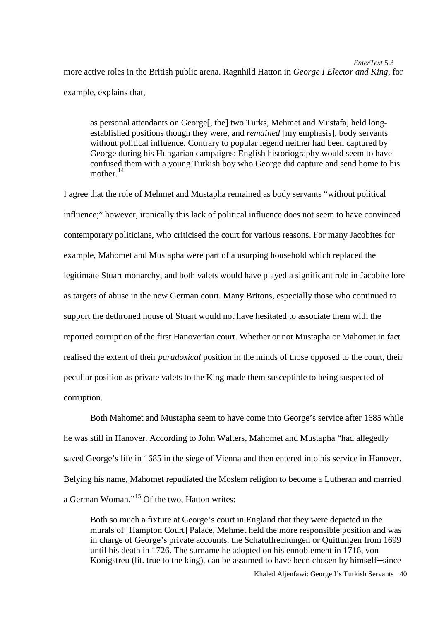*EnterText* 5.3 more active roles in the British public arena. Ragnhild Hatton in *George I Elector and King*, for example, explains that,

as personal attendants on George[, the] two Turks, Mehmet and Mustafa, held longestablished positions though they were, and *remained* [my emphasis], body servants without political influence. Contrary to popular legend neither had been captured by George during his Hungarian campaigns: English historiography would seem to have confused them with a young Turkish boy who George did capture and send home to his mother.<sup>[14](#page-19-8)</sup>

I agree that the role of Mehmet and Mustapha remained as body servants "without political influence;" however, ironically this lack of political influence does not seem to have convinced contemporary politicians, who criticised the court for various reasons. For many Jacobites for example, Mahomet and Mustapha were part of a usurping household which replaced the legitimate Stuart monarchy, and both valets would have played a significant role in Jacobite lore as targets of abuse in the new German court. Many Britons, especially those who continued to support the dethroned house of Stuart would not have hesitated to associate them with the reported corruption of the first Hanoverian court. Whether or not Mustapha or Mahomet in fact realised the extent of their *paradoxical* position in the minds of those opposed to the court, their peculiar position as private valets to the King made them susceptible to being suspected of corruption.

Both Mahomet and Mustapha seem to have come into George's service after 1685 while he was still in Hanover. According to John Walters, Mahomet and Mustapha "had allegedly saved George's life in 1685 in the siege of Vienna and then entered into his service in Hanover. Belying his name, Mahomet repudiated the Moslem religion to become a Lutheran and married a German Woman."[15](#page-19-9) Of the two, Hatton writes:

Both so much a fixture at George's court in England that they were depicted in the murals of [Hampton Court] Palace, Mehmet held the more responsible position and was in charge of George's private accounts, the Schatullrechungen or Quittungen from 1699 until his death in 1726. The surname he adopted on his ennoblement in 1716, von Konigstreu (lit. true to the king), can be assumed to have been chosen by himself—since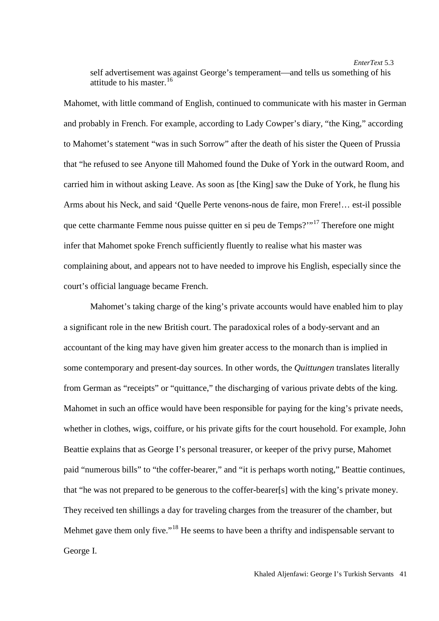self advertisement was against George's temperament—and tells us something of his attitude to his master.  $16$ 

Mahomet, with little command of English, continued to communicate with his master in German and probably in French. For example, according to Lady Cowper's diary, "the King," according to Mahomet's statement "was in such Sorrow" after the death of his sister the Queen of Prussia that "he refused to see Anyone till Mahomed found the Duke of York in the outward Room, and carried him in without asking Leave. As soon as [the King] saw the Duke of York, he flung his Arms about his Neck, and said 'Quelle Perte venons-nous de faire, mon Frere!… est-il possible que cette charmante Femme nous puisse quitter en si peu de Temps?'"[17](#page-19-11) Therefore one might infer that Mahomet spoke French sufficiently fluently to realise what his master was complaining about, and appears not to have needed to improve his English, especially since the court's official language became French.

Mahomet's taking charge of the king's private accounts would have enabled him to play a significant role in the new British court. The paradoxical roles of a body-servant and an accountant of the king may have given him greater access to the monarch than is implied in some contemporary and present-day sources. In other words, the *Quittungen* translates literally from German as "receipts" or "quittance," the discharging of various private debts of the king. Mahomet in such an office would have been responsible for paying for the king's private needs, whether in clothes, wigs, coiffure, or his private gifts for the court household. For example, John Beattie explains that as George I's personal treasurer, or keeper of the privy purse, Mahomet paid "numerous bills" to "the coffer-bearer," and "it is perhaps worth noting," Beattie continues, that "he was not prepared to be generous to the coffer-bearer[s] with the king's private money. They received ten shillings a day for traveling charges from the treasurer of the chamber, but Mehmet gave them only five."<sup>[18](#page-19-12)</sup> He seems to have been a thrifty and indispensable servant to George I.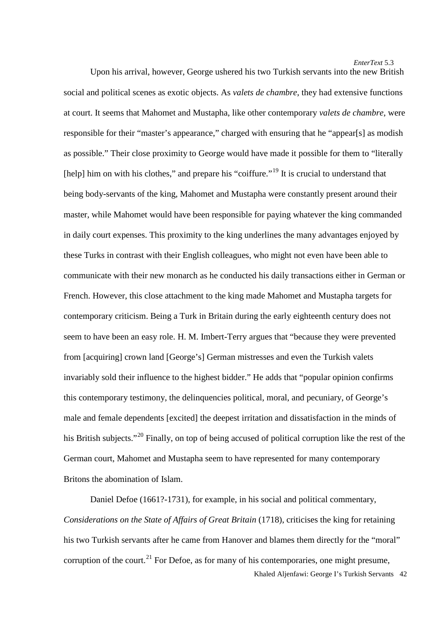Upon his arrival, however, George ushered his two Turkish servants into the new British social and political scenes as exotic objects. As *valets de chambre*, they had extensive functions at court. It seems that Mahomet and Mustapha, like other contemporary *valets de chambre*, were responsible for their "master's appearance," charged with ensuring that he "appear[s] as modish as possible." Their close proximity to George would have made it possible for them to "literally [help] him on with his clothes," and prepare his "coiffure."<sup>[19](#page-19-13)</sup> It is crucial to understand that being body-servants of the king, Mahomet and Mustapha were constantly present around their master, while Mahomet would have been responsible for paying whatever the king commanded in daily court expenses. This proximity to the king underlines the many advantages enjoyed by these Turks in contrast with their English colleagues, who might not even have been able to communicate with their new monarch as he conducted his daily transactions either in German or French. However, this close attachment to the king made Mahomet and Mustapha targets for contemporary criticism. Being a Turk in Britain during the early eighteenth century does not seem to have been an easy role. H. M. Imbert-Terry argues that "because they were prevented from [acquiring] crown land [George's] German mistresses and even the Turkish valets invariably sold their influence to the highest bidder." He adds that "popular opinion confirms this contemporary testimony, the delinquencies political, moral, and pecuniary, of George's male and female dependents [excited] the deepest irritation and dissatisfaction in the minds of his British subjects."<sup>[20](#page-19-14)</sup> Finally, on top of being accused of political corruption like the rest of the German court, Mahomet and Mustapha seem to have represented for many contemporary Britons the abomination of Islam.

Khaled Aljenfawi: George I's Turkish Servants 42 Daniel Defoe (1661?-1731), for example, in his social and political commentary, *Considerations on the State of Affairs of Great Britain* (1718), criticises the king for retaining his two Turkish servants after he came from Hanover and blames them directly for the "moral" corruption of the court.<sup>[21](#page-19-15)</sup> For Defoe, as for many of his contemporaries, one might presume,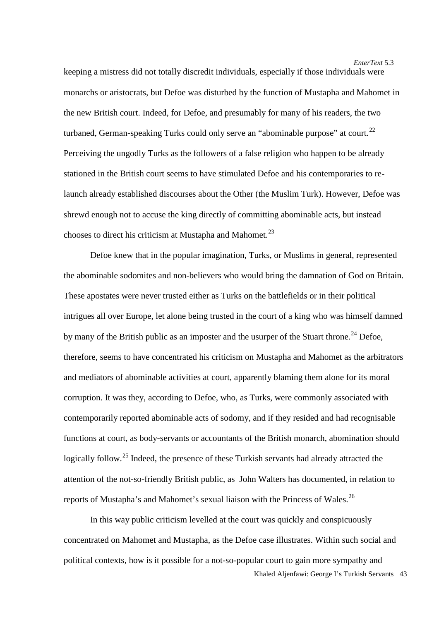keeping a mistress did not totally discredit individuals, especially if those individuals were monarchs or aristocrats, but Defoe was disturbed by the function of Mustapha and Mahomet in the new British court. Indeed, for Defoe, and presumably for many of his readers, the two turbaned, German-speaking Turks could only serve an "abominable purpose" at court.<sup>[22](#page-19-16)</sup> Perceiving the ungodly Turks as the followers of a false religion who happen to be already stationed in the British court seems to have stimulated Defoe and his contemporaries to relaunch already established discourses about the Other (the Muslim Turk). However, Defoe was shrewd enough not to accuse the king directly of committing abominable acts, but instead chooses to direct his criticism at Mustapha and Mahomet.<sup>[23](#page-19-17)</sup>

Defoe knew that in the popular imagination, Turks, or Muslims in general, represented the abominable sodomites and non-believers who would bring the damnation of God on Britain. These apostates were never trusted either as Turks on the battlefields or in their political intrigues all over Europe, let alone being trusted in the court of a king who was himself damned by many of the British public as an imposter and the usurper of the Stuart throne.<sup>[24](#page-19-18)</sup> Defoe, therefore, seems to have concentrated his criticism on Mustapha and Mahomet as the arbitrators and mediators of abominable activities at court, apparently blaming them alone for its moral corruption. It was they, according to Defoe, who, as Turks, were commonly associated with contemporarily reported abominable acts of sodomy, and if they resided and had recognisable functions at court, as body-servants or accountants of the British monarch, abomination should logically follow.<sup>[25](#page-19-19)</sup> Indeed, the presence of these Turkish servants had already attracted the attention of the not-so-friendly British public, as John Walters has documented, in relation to reports of Mustapha's and Mahomet's sexual liaison with the Princess of Wales.<sup>[26](#page-19-20)</sup>

Khaled Aljenfawi: George I's Turkish Servants 43 In this way public criticism levelled at the court was quickly and conspicuously concentrated on Mahomet and Mustapha, as the Defoe case illustrates. Within such social and political contexts, how is it possible for a not-so-popular court to gain more sympathy and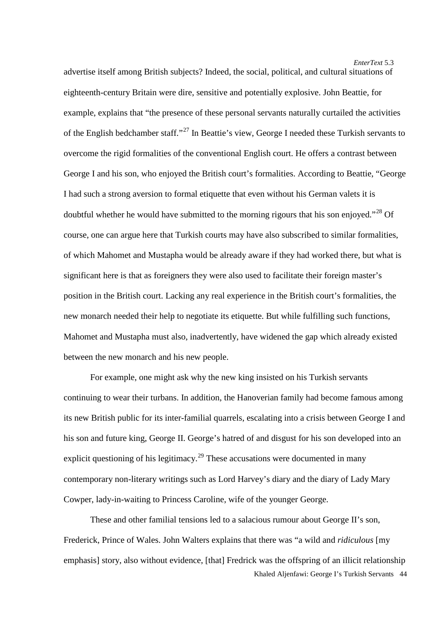advertise itself among British subjects? Indeed, the social, political, and cultural situations of eighteenth-century Britain were dire, sensitive and potentially explosive. John Beattie, for example, explains that "the presence of these personal servants naturally curtailed the activities of the English bedchamber staff."[27](#page-19-21) In Beattie's view, George I needed these Turkish servants to overcome the rigid formalities of the conventional English court. He offers a contrast between George I and his son, who enjoyed the British court's formalities. According to Beattie, "George I had such a strong aversion to formal etiquette that even without his German valets it is doubtful whether he would have submitted to the morning rigours that his son enjoyed."<sup>[28](#page-19-22)</sup> Of course, one can argue here that Turkish courts may have also subscribed to similar formalities, of which Mahomet and Mustapha would be already aware if they had worked there, but what is significant here is that as foreigners they were also used to facilitate their foreign master's position in the British court. Lacking any real experience in the British court's formalities, the new monarch needed their help to negotiate its etiquette. But while fulfilling such functions, Mahomet and Mustapha must also, inadvertently, have widened the gap which already existed between the new monarch and his new people.

For example, one might ask why the new king insisted on his Turkish servants continuing to wear their turbans. In addition, the Hanoverian family had become famous among its new British public for its inter-familial quarrels, escalating into a crisis between George I and his son and future king, George II. George's hatred of and disgust for his son developed into an explicit questioning of his legitimacy.<sup>29</sup> These accusations were documented in many contemporary non-literary writings such as Lord Harvey's diary and the diary of Lady Mary Cowper, lady-in-waiting to Princess Caroline, wife of the younger George.

Khaled Aljenfawi: George I's Turkish Servants 44 These and other familial tensions led to a salacious rumour about George II's son, Frederick, Prince of Wales. John Walters explains that there was "a wild and *ridiculous* [my emphasis] story, also without evidence, [that] Fredrick was the offspring of an illicit relationship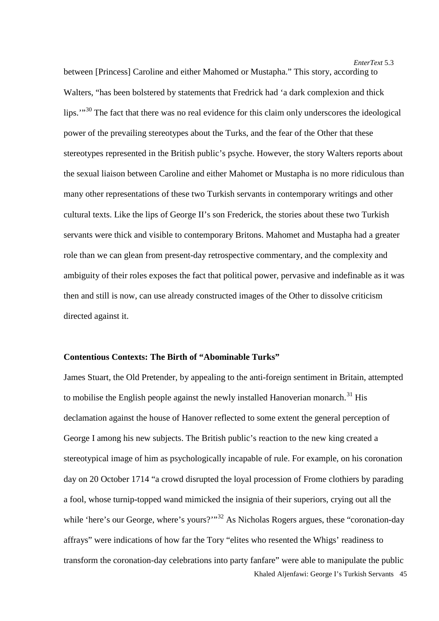between [Princess] Caroline and either Mahomed or Mustapha." This story, according to Walters, "has been bolstered by statements that Fredrick had 'a dark complexion and thick lips."<sup>[30](#page-19-23)</sup> The fact that there was no real evidence for this claim only underscores the ideological power of the prevailing stereotypes about the Turks, and the fear of the Other that these stereotypes represented in the British public's psyche. However, the story Walters reports about the sexual liaison between Caroline and either Mahomet or Mustapha is no more ridiculous than many other representations of these two Turkish servants in contemporary writings and other cultural texts. Like the lips of George II's son Frederick, the stories about these two Turkish servants were thick and visible to contemporary Britons. Mahomet and Mustapha had a greater role than we can glean from present-day retrospective commentary, and the complexity and ambiguity of their roles exposes the fact that political power, pervasive and indefinable as it was then and still is now, can use already constructed images of the Other to dissolve criticism directed against it.

#### **Contentious Contexts: The Birth of "Abominable Turks"**

Khaled Aljenfawi: George I's Turkish Servants 45 James Stuart, the Old Pretender, by appealing to the anti-foreign sentiment in Britain, attempted to mobilise the English people against the newly installed Hanoverian monarch.<sup>[31](#page-19-3)</sup> His declamation against the house of Hanover reflected to some extent the general perception of George I among his new subjects. The British public's reaction to the new king created a stereotypical image of him as psychologically incapable of rule. For example, on his coronation day on 20 October 1714 "a crowd disrupted the loyal procession of Frome clothiers by parading a fool, whose turnip-topped wand mimicked the insignia of their superiors, crying out all the while 'here's our George, where's yours?'"<sup>[32](#page-19-24)</sup> As Nicholas Rogers argues, these "coronation-day" affrays" were indications of how far the Tory "elites who resented the Whigs' readiness to transform the coronation-day celebrations into party fanfare" were able to manipulate the public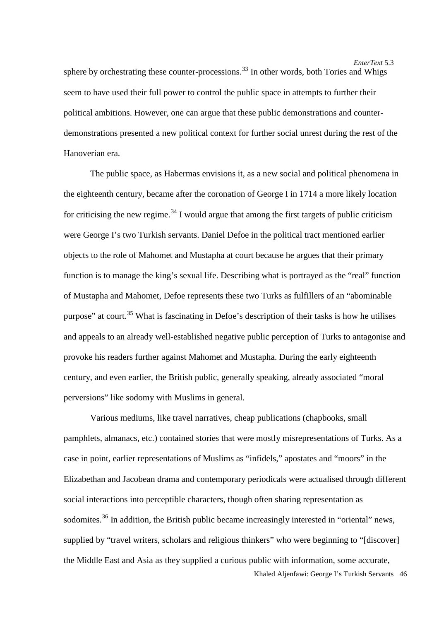*EnterText* 5.3 sphere by orchestrating these counter-processions.<sup>[33](#page-19-25)</sup> In other words, both Tories and Whigs seem to have used their full power to control the public space in attempts to further their political ambitions. However, one can argue that these public demonstrations and counterdemonstrations presented a new political context for further social unrest during the rest of the Hanoverian era.

The public space, as Habermas envisions it, as a new social and political phenomena in the eighteenth century, became after the coronation of George I in 1714 a more likely location for criticising the new regime.<sup>[34](#page-19-26)</sup> I would argue that among the first targets of public criticism were George I's two Turkish servants. Daniel Defoe in the political tract mentioned earlier objects to the role of Mahomet and Mustapha at court because he argues that their primary function is to manage the king's sexual life. Describing what is portrayed as the "real" function of Mustapha and Mahomet, Defoe represents these two Turks as fulfillers of an "abominable purpose" at court.<sup>[35](#page-19-27)</sup> What is fascinating in Defoe's description of their tasks is how he utilises and appeals to an already well-established negative public perception of Turks to antagonise and provoke his readers further against Mahomet and Mustapha. During the early eighteenth century, and even earlier, the British public, generally speaking, already associated "moral perversions" like sodomy with Muslims in general.

Various mediums, like travel narratives, cheap publications (chapbooks, small pamphlets, almanacs, etc.) contained stories that were mostly misrepresentations of Turks. As a case in point, earlier representations of Muslims as "infidels," apostates and "moors" in the Elizabethan and Jacobean drama and contemporary periodicals were actualised through different social interactions into perceptible characters, though often sharing representation as sodomites.<sup>[36](#page-19-5)</sup> In addition, the British public became increasingly interested in "oriental" news, supplied by "travel writers, scholars and religious thinkers" who were beginning to "[discover] the Middle East and Asia as they supplied a curious public with information, some accurate,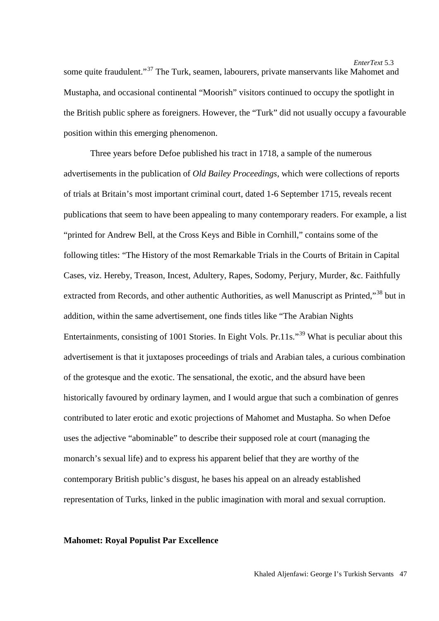*EnterText* 5.3 some quite fraudulent."<sup>[37](#page-19-28)</sup> The Turk, seamen, labourers, private manservants like Mahomet and Mustapha, and occasional continental "Moorish" visitors continued to occupy the spotlight in the British public sphere as foreigners. However, the "Turk" did not usually occupy a favourable position within this emerging phenomenon.

Three years before Defoe published his tract in 1718, a sample of the numerous advertisements in the publication of *Old Bailey Proceedings*, which were collections of reports of trials at Britain's most important criminal court, dated 1-6 September 1715, reveals recent publications that seem to have been appealing to many contemporary readers. For example, a list "printed for Andrew Bell, at the Cross Keys and Bible in Cornhill," contains some of the following titles: "The History of the most Remarkable Trials in the Courts of Britain in Capital Cases, viz. Hereby, Treason, Incest, Adultery, Rapes, Sodomy, Perjury, Murder, &c. Faithfully extracted from Records, and other authentic Authorities, as well Manuscript as Printed."<sup>[38](#page-19-7)</sup> but in addition, within the same advertisement, one finds titles like "The Arabian Nights Entertainments, consisting of 1001 Stories. In Eight Vols. Pr.11s."<sup>[39](#page-19-29)</sup> What is peculiar about this advertisement is that it juxtaposes proceedings of trials and Arabian tales, a curious combination of the grotesque and the exotic. The sensational, the exotic, and the absurd have been historically favoured by ordinary laymen, and I would argue that such a combination of genres contributed to later erotic and exotic projections of Mahomet and Mustapha. So when Defoe uses the adjective "abominable" to describe their supposed role at court (managing the monarch's sexual life) and to express his apparent belief that they are worthy of the contemporary British public's disgust, he bases his appeal on an already established representation of Turks, linked in the public imagination with moral and sexual corruption.

# **Mahomet: Royal Populist Par Excellence**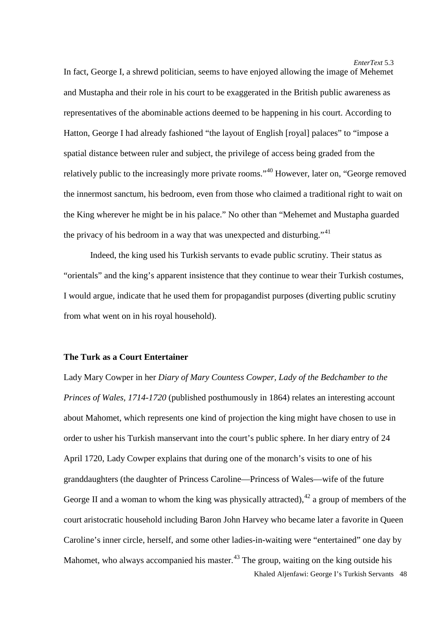In fact, George I, a shrewd politician, seems to have enjoyed allowing the image of Mehemet and Mustapha and their role in his court to be exaggerated in the British public awareness as representatives of the abominable actions deemed to be happening in his court. According to Hatton, George I had already fashioned "the layout of English [royal] palaces" to "impose a spatial distance between ruler and subject, the privilege of access being graded from the relatively public to the increasingly more private rooms."[40](#page-19-8) However, later on, "George removed the innermost sanctum, his bedroom, even from those who claimed a traditional right to wait on the King wherever he might be in his palace." No other than "Mehemet and Mustapha guarded the privacy of his bedroom in a way that was unexpected and disturbing."<sup>[41](#page-19-9)</sup>

Indeed, the king used his Turkish servants to evade public scrutiny. Their status as "orientals" and the king's apparent insistence that they continue to wear their Turkish costumes, I would argue, indicate that he used them for propagandist purposes (diverting public scrutiny from what went on in his royal household).

#### **The Turk as a Court Entertainer**

Khaled Aljenfawi: George I's Turkish Servants 48 Lady Mary Cowper in her *Diary of Mary Countess Cowper, Lady of the Bedchamber to the Princes of Wales, 1714-1720* (published posthumously in 1864) relates an interesting account about Mahomet, which represents one kind of projection the king might have chosen to use in order to usher his Turkish manservant into the court's public sphere. In her diary entry of 24 April 1720, Lady Cowper explains that during one of the monarch's visits to one of his granddaughters (the daughter of Princess Caroline—Princess of Wales—wife of the future George II and a woman to whom the king was physically attracted),  $42$  a group of members of the court aristocratic household including Baron John Harvey who became later a favorite in Queen Caroline's inner circle, herself, and some other ladies-in-waiting were "entertained" one day by Mahomet, who always accompanied his master.<sup>[43](#page-19-13)</sup> The group, waiting on the king outside his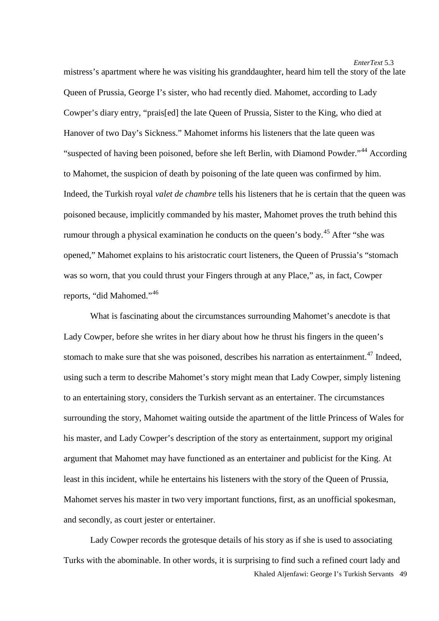mistress's apartment where he was visiting his granddaughter, heard him tell the story of the late Queen of Prussia, George I's sister, who had recently died. Mahomet, according to Lady Cowper's diary entry, "prais[ed] the late Queen of Prussia, Sister to the King, who died at Hanover of two Day's Sickness." Mahomet informs his listeners that the late queen was "suspected of having been poisoned, before she left Berlin, with Diamond Powder."<sup>[44](#page-19-14)</sup> According to Mahomet, the suspicion of death by poisoning of the late queen was confirmed by him. Indeed, the Turkish royal *valet de chambre* tells his listeners that he is certain that the queen was poisoned because, implicitly commanded by his master, Mahomet proves the truth behind this rumour through a physical examination he conducts on the queen's body.<sup>[45](#page-19-15)</sup> After "she was opened," Mahomet explains to his aristocratic court listeners, the Queen of Prussia's "stomach was so worn, that you could thrust your Fingers through at any Place," as, in fact, Cowper reports, "did Mahomed."[46](#page-19-30)

What is fascinating about the circumstances surrounding Mahomet's anecdote is that Lady Cowper, before she writes in her diary about how he thrust his fingers in the queen's stomach to make sure that she was poisoned, describes his narration as entertainment.<sup>[47](#page-19-31)</sup> Indeed, using such a term to describe Mahomet's story might mean that Lady Cowper, simply listening to an entertaining story, considers the Turkish servant as an entertainer. The circumstances surrounding the story, Mahomet waiting outside the apartment of the little Princess of Wales for his master, and Lady Cowper's description of the story as entertainment, support my original argument that Mahomet may have functioned as an entertainer and publicist for the King. At least in this incident, while he entertains his listeners with the story of the Queen of Prussia, Mahomet serves his master in two very important functions, first, as an unofficial spokesman, and secondly, as court jester or entertainer.

Khaled Aljenfawi: George I's Turkish Servants 49 Lady Cowper records the grotesque details of his story as if she is used to associating Turks with the abominable. In other words, it is surprising to find such a refined court lady and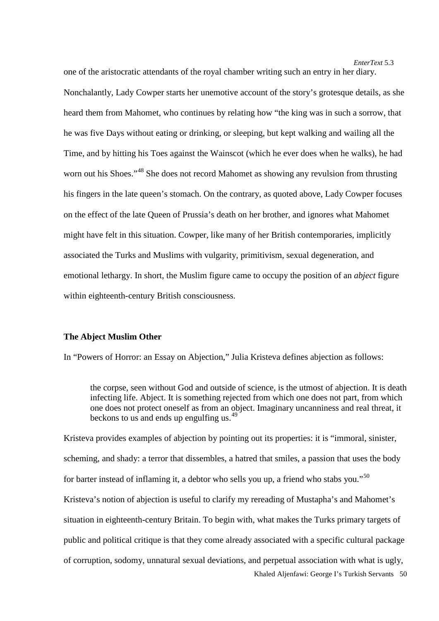one of the aristocratic attendants of the royal chamber writing such an entry in her diary. Nonchalantly, Lady Cowper starts her unemotive account of the story's grotesque details, as she heard them from Mahomet, who continues by relating how "the king was in such a sorrow, that he was five Days without eating or drinking, or sleeping, but kept walking and wailing all the Time, and by hitting his Toes against the Wainscot (which he ever does when he walks), he had worn out his Shoes."<sup>[48](#page-19-16)</sup> She does not record Mahomet as showing any revulsion from thrusting his fingers in the late queen's stomach. On the contrary, as quoted above, Lady Cowper focuses on the effect of the late Queen of Prussia's death on her brother, and ignores what Mahomet might have felt in this situation. Cowper, like many of her British contemporaries, implicitly associated the Turks and Muslims with vulgarity, primitivism, sexual degeneration, and emotional lethargy. In short, the Muslim figure came to occupy the position of an *abject* figure within eighteenth-century British consciousness.

# **The Abject Muslim Other**

In "Powers of Horror: an Essay on Abjection," Julia Kristeva defines abjection as follows:

the corpse, seen without God and outside of science, is the utmost of abjection. It is death infecting life. Abject. It is something rejected from which one does not part, from which one does not protect oneself as from an object. Imaginary uncanniness and real threat, it beckons to us and ends up engulfing us.<sup>[49](#page-19-17)</sup>

Khaled Aljenfawi: George I's Turkish Servants 50 Kristeva provides examples of abjection by pointing out its properties: it is "immoral, sinister, scheming, and shady: a terror that dissembles, a hatred that smiles, a passion that uses the body for barter instead of inflaming it, a debtor who sells you up, a friend who stabs you."[50](#page-19-32) Kristeva's notion of abjection is useful to clarify my rereading of Mustapha's and Mahomet's situation in eighteenth-century Britain. To begin with, what makes the Turks primary targets of public and political critique is that they come already associated with a specific cultural package of corruption, sodomy, unnatural sexual deviations, and perpetual association with what is ugly,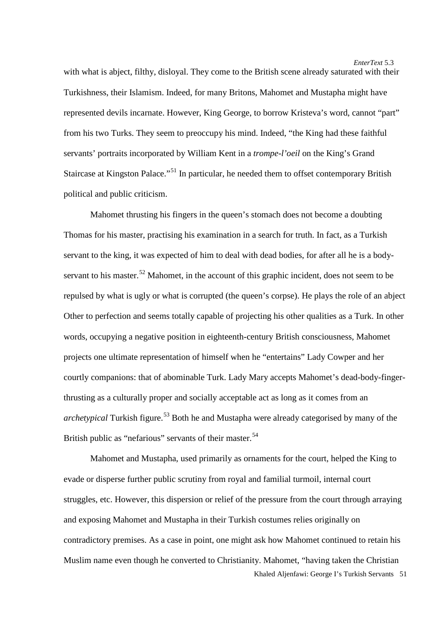with what is abject, filthy, disloyal. They come to the British scene already saturated with their Turkishness, their Islamism. Indeed, for many Britons, Mahomet and Mustapha might have represented devils incarnate. However, King George, to borrow Kristeva's word, cannot "part" from his two Turks. They seem to preoccupy his mind. Indeed, "the King had these faithful servants' portraits incorporated by William Kent in a *trompe-l'oeil* on the King's Grand Staircase at Kingston Palace."<sup>[51](#page-19-18)</sup> In particular, he needed them to offset contemporary British political and public criticism.

Mahomet thrusting his fingers in the queen's stomach does not become a doubting Thomas for his master, practising his examination in a search for truth. In fact, as a Turkish servant to the king, it was expected of him to deal with dead bodies, for after all he is a body-servant to his master.<sup>[52](#page-19-19)</sup> Mahomet, in the account of this graphic incident, does not seem to be repulsed by what is ugly or what is corrupted (the queen's corpse). He plays the role of an abject Other to perfection and seems totally capable of projecting his other qualities as a Turk. In other words, occupying a negative position in eighteenth-century British consciousness, Mahomet projects one ultimate representation of himself when he "entertains" Lady Cowper and her courtly companions: that of abominable Turk. Lady Mary accepts Mahomet's dead-body-fingerthrusting as a culturally proper and socially acceptable act as long as it comes from an *archetypical* Turkish figure.<sup>[53](#page-19-33)</sup> Both he and Mustapha were already categorised by many of the British public as "nefarious" servants of their master.<sup>[54](#page-19-34)</sup>

Khaled Aljenfawi: George I's Turkish Servants 51 Mahomet and Mustapha, used primarily as ornaments for the court, helped the King to evade or disperse further public scrutiny from royal and familial turmoil, internal court struggles, etc. However, this dispersion or relief of the pressure from the court through arraying and exposing Mahomet and Mustapha in their Turkish costumes relies originally on contradictory premises. As a case in point, one might ask how Mahomet continued to retain his Muslim name even though he converted to Christianity. Mahomet, "having taken the Christian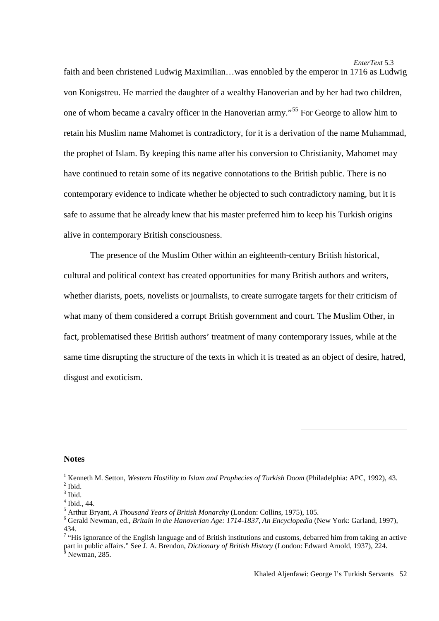*EnterText* 5.3 faith and been christened Ludwig Maximilian…was ennobled by the emperor in 1716 as Ludwig von Konigstreu. He married the daughter of a wealthy Hanoverian and by her had two children, one of whom became a cavalry officer in the Hanoverian army."[55](#page-19-35) For George to allow him to retain his Muslim name Mahomet is contradictory, for it is a derivation of the name Muhammad, the prophet of Islam. By keeping this name after his conversion to Christianity, Mahomet may have continued to retain some of its negative connotations to the British public. There is no contemporary evidence to indicate whether he objected to such contradictory naming, but it is safe to assume that he already knew that his master preferred him to keep his Turkish origins alive in contemporary British consciousness.

The presence of the Muslim Other within an eighteenth-century British historical, cultural and political context has created opportunities for many British authors and writers, whether diarists, poets, novelists or journalists, to create surrogate targets for their criticism of what many of them considered a corrupt British government and court. The Muslim Other, in fact, problematised these British authors' treatment of many contemporary issues, while at the same time disrupting the structure of the texts in which it is treated as an object of desire, hatred, disgust and exoticism.

### <span id="page-17-0"></span>**Notes**

**.** 

<sup>&</sup>lt;sup>1</sup> Kenneth M. Setton, *Western Hostility to Islam and Prophecies of Turkish Doom* (Philadelphia: APC, 1992), 43.<br>
<sup>2</sup> Ibid.<br>
<sup>3</sup> Ibid., 44.<br>
<sup>5</sup> Arthur Bryant, *A Thousand Years of British Monarchy* (London: Collins, 197

<sup>434.</sup>

<sup>&</sup>lt;sup>7</sup> "His ignorance of the English language and of British institutions and customs, debarred him from taking an active part in public affairs." See J. A. Brendon, *Dictionary of British History* (London: Edward Arnold, 1937), 224. 8 Newman, 285.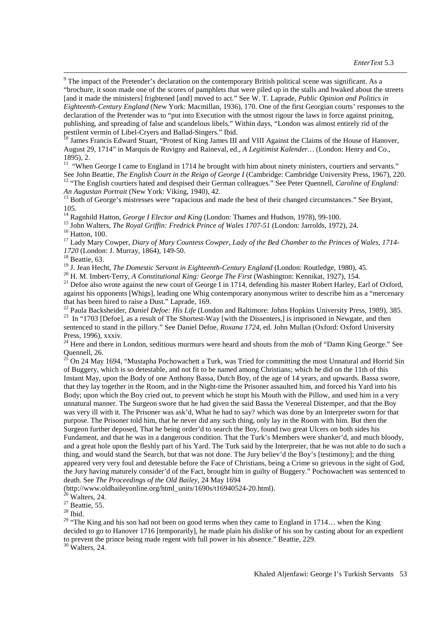<sup>9</sup> The impact of the Pretender's declaration on the contemporary British political scene was significant. As a "brochure, it soon made one of the scores of pamphlets that were piled up in the stalls and hwaked about the streets [and it made the ministers] frightened [and] moved to act." See W. T. Laprade, *Public Opinion and Politics in Eighteenth-Century England* (New York: Macmillan, 1936), 170. One of the first Georgian courts' responses to the declaration of the Pretender was to "put into Execution with the utmost rigour the laws in force against prinitng, publishing, and spreading of false and scandelous libels." Within days, "London was almost entirely rid of the

<sup>10</sup> James Francis Edward Stuart, "Protest of King James III and VIII Against the Claims of the House of Hanover, August 29, 1714" in Marquis de Ruvigny and Raineval, ed., *A Legitimist Kalender…* (London: Henry and Co.,

<sup>11</sup> "When George I came to England in 1714 he brought with him about ninety ministers, courtiers and servants."<br>See John Beattie, *The English Court in the Reign of George I* (Cambridge: Cambridge University Press, 1967) <sup>12</sup> "The English courtiers hated and despised their German colleagues." See Peter Quennell, Caroline of England:<br>An Augustan Portrait (New York: Viking, 1940), 42.

<sup>13</sup> Both of George's mistresses were "rapacious and made the best of their changed circumstances." See Bryant, 105.<br><sup>14</sup> Ragnhild Hatton, *George I Elector and King* (London: Thames and Hudson, 1978), 99-100.

<sup>15</sup> John Walters, *The Royal Griffin: Fredrick Prince of Wales 1707-51* (London: Jarrolds, 1972), 24.<br><sup>16</sup> Hatton, 100.<br><sup>17</sup> Lady Mary Cowper, *Diary of Mary Countess Cowper, Lady of the Bed Chamber to the Princes of Wal* 

*1720* (London: J. Murray, 1864), 149-50.<br><sup>18</sup> Beattie, 63.<br><sup>19</sup> J. Jean Hecht, *The Domestic Servant in Eighteenth-Century England* (London: Routledge, 1980), 45.

<sup>20</sup> H. M. Imbert-Terry, A Constitutional King: George The First (Washington: Kennikat, 1927), 154.<br><sup>21</sup> Defoe also wrote against the new court of George I in 1714, defending his master Robert Harley, Earl of Oxford, against his opponents [Whigs], leading one Whig contemporary anonymous writer to describe him as a "mercenary

that has been hired to raise a Dust." Laprade, 169.<br><sup>22</sup> Paula Backsheider, *Daniel Defoe: His Life* (London and Baltimore: Johns Hopkins University Press, 1989), 385.<br><sup>23</sup> In "1703 [Defoel, as a result of The Shortest-Way sentenced to stand in the pillory." See Daniel Defoe, *Roxana 1724,* ed. John Mullan (Oxford: Oxford University

Press, 1996), xxxiv.<br><sup>24</sup> Here and there in London, seditious murmurs were heard and shouts from the mob of "Damn King George." See<br>Quennell, 26.<br> $25 \text{ On } 24 \text{ MeV}$  1504.

On 24 May 1694, "Mustapha Pochowachett a Turk, was Tried for committing the most Unnatural and Horrid Sin of Buggery, which is so detestable, and not fit to be named among Christians; which he did on the 11th of this Instant May, upon the Body of one Anthony Bassa, Dutch Boy, of the age of 14 years, and upwards. Bassa swore, that they lay together in the Room, and in the Night-time the Prisoner assaulted him, and forced his Yard into his Body; upon which the Boy cried out, to prevent which he stopt his Mouth with the Pillow, and used him in a very unnatural manner. The Surgeon swore that he had given the said Bassa the Venereal Distemper, and that the Boy was very ill with it. The Prisoner was ask'd, What he had to say? which was done by an Interpreter sworn for that purpose. The Prisoner told him, that he never did any such thing, only lay in the Room with him. But then the Surgeon further deposed, That he being order'd to search the Boy, found two great Ulcers on both sides his Fundament, and that he was in a dangerous condition. That the Turk's Members were shanker'd, and much bloody, and a great hole upon the fleshly part of his Yard. The Turk said by the Interpreter, that he was not able to do such a thing, and would stand the Search, but that was not done. The Jury believ'd the Boy's [testimony]; and the thing appeared very very foul and detestable before the Face of Christians, being a Crime so grievous in the sight of God, the Jury having maturely consider'd of the Fact, brought him in guilty of Buggery." Pochowachett was sentenced to death. See *The Proceedings of the Old Bailey,* 24 May 1694

<span id="page-18-1"></span><span id="page-18-0"></span>[\(http://www.oldbaileyonline.org/html\\_units/1690s/t16940524-20.html\)](http://www.oldbaileyonline.org/html_units/1690s/t16940524-20.html).<br>
<sup>26</sup> Walters, 24.<br>
<sup>27</sup> Beattie, 55.<br>
<sup>28</sup> Ibid.

<span id="page-18-2"></span>

<span id="page-18-3"></span><sup>29</sup> "The King and his son had not been on good terms when they came to England in 1714... when the King decided to go to Hanover 1716 [temporarily], he made plain his dislike of his son by casting about for an expedient to prevent the prince being made regent with full power in his absence." Beattie, 229. 30 Walters, 24.